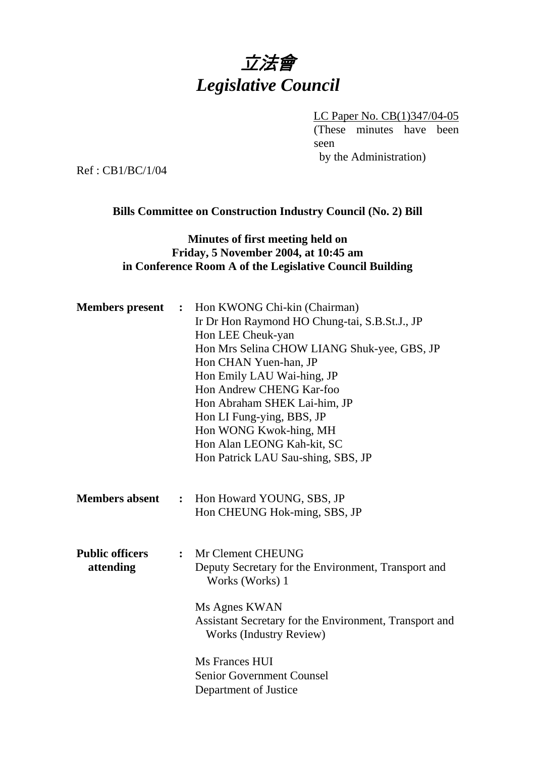# 立法會 *Legislative Council*

LC Paper No. CB(1)347/04-05 (These minutes have been seen by the Administration)

Ref : CB1/BC/1/04

## **Bills Committee on Construction Industry Council (No. 2) Bill**

## **Minutes of first meeting held on Friday, 5 November 2004, at 10:45 am in Conference Room A of the Legislative Council Building**

| <b>Members</b> present              |                | : Hon KWONG Chi-kin (Chairman)<br>Ir Dr Hon Raymond HO Chung-tai, S.B.St.J., JP<br>Hon LEE Cheuk-yan<br>Hon Mrs Selina CHOW LIANG Shuk-yee, GBS, JP<br>Hon CHAN Yuen-han, JP<br>Hon Emily LAU Wai-hing, JP<br>Hon Andrew CHENG Kar-foo<br>Hon Abraham SHEK Lai-him, JP<br>Hon LI Fung-ying, BBS, JP<br>Hon WONG Kwok-hing, MH<br>Hon Alan LEONG Kah-kit, SC<br>Hon Patrick LAU Sau-shing, SBS, JP |
|-------------------------------------|----------------|---------------------------------------------------------------------------------------------------------------------------------------------------------------------------------------------------------------------------------------------------------------------------------------------------------------------------------------------------------------------------------------------------|
| <b>Members absent</b>               | $\ddot{\cdot}$ | Hon Howard YOUNG, SBS, JP<br>Hon CHEUNG Hok-ming, SBS, JP                                                                                                                                                                                                                                                                                                                                         |
| <b>Public officers</b><br>attending | $\ddot{\cdot}$ | Mr Clement CHEUNG<br>Deputy Secretary for the Environment, Transport and<br>Works (Works) 1<br>Ms Agnes KWAN<br>Assistant Secretary for the Environment, Transport and<br><b>Works (Industry Review)</b>                                                                                                                                                                                          |
|                                     |                | Ms Frances HUI<br><b>Senior Government Counsel</b><br>Department of Justice                                                                                                                                                                                                                                                                                                                       |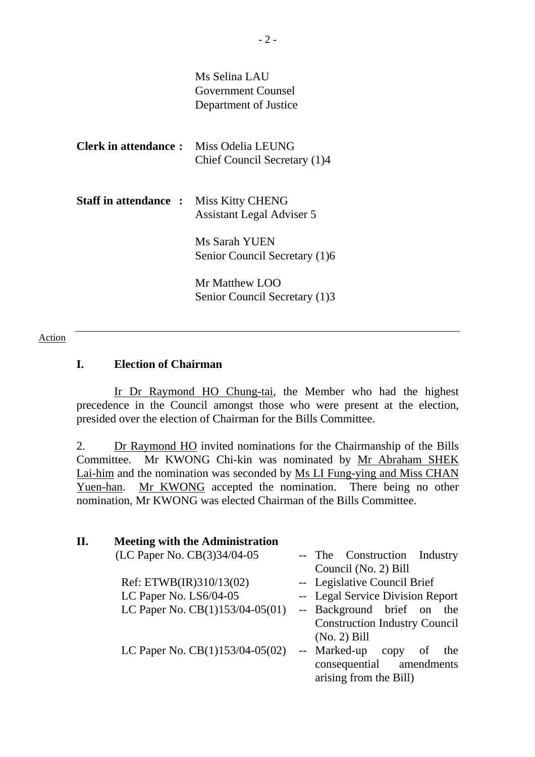|                                               | Ms Selina LAU<br>Government Counsel<br>Department of Justice |
|-----------------------------------------------|--------------------------------------------------------------|
| <b>Clerk in attendance:</b> Miss Odelia LEUNG | Chief Council Secretary (1)4                                 |
| <b>Staff in attendance :</b>                  | <b>Miss Kitty CHENG</b><br><b>Assistant Legal Adviser 5</b>  |
|                                               | Ms Sarah YUEN<br>Senior Council Secretary (1)6               |
|                                               | Mr Matthew LOO<br>Senior Council Secretary (1)3              |

#### Action

### **I. Election of Chairman**

 Ir Dr Raymond HO Chung-tai, the Member who had the highest precedence in the Council amongst those who were present at the election, presided over the election of Chairman for the Bills Committee.

2. Dr Raymond HO invited nominations for the Chairmanship of the Bills Committee. Mr KWONG Chi-kin was nominated by Mr Abraham SHEK Lai-him and the nomination was seconded by Ms LI Fung-ying and Miss CHAN Yuen-han. Mr KWONG accepted the nomination. There being no other nomination, Mr KWONG was elected Chairman of the Bills Committee.

| II. | <b>Meeting with the Administration</b> |                                              |
|-----|----------------------------------------|----------------------------------------------|
|     | (LC Paper No. CB(3)34/04-05            | -- The Construction<br>Industry              |
|     |                                        | Council (No. 2) Bill                         |
|     | Ref: ETWB(IR)310/13(02)                | -- Legislative Council Brief                 |
|     | LC Paper No. LS6/04-05                 | -- Legal Service Division Report             |
|     | LC Paper No. $CB(1)153/04-05(01)$      | -- Background brief on<br>the                |
|     |                                        | <b>Construction Industry Council</b>         |
|     |                                        | $(No. 2)$ Bill                               |
|     | LC Paper No. CB(1)153/04-05(02)        | -- Marked-up<br><sub>of</sub><br>the<br>copy |
|     |                                        | consequential amendments                     |
|     |                                        | arising from the Bill)                       |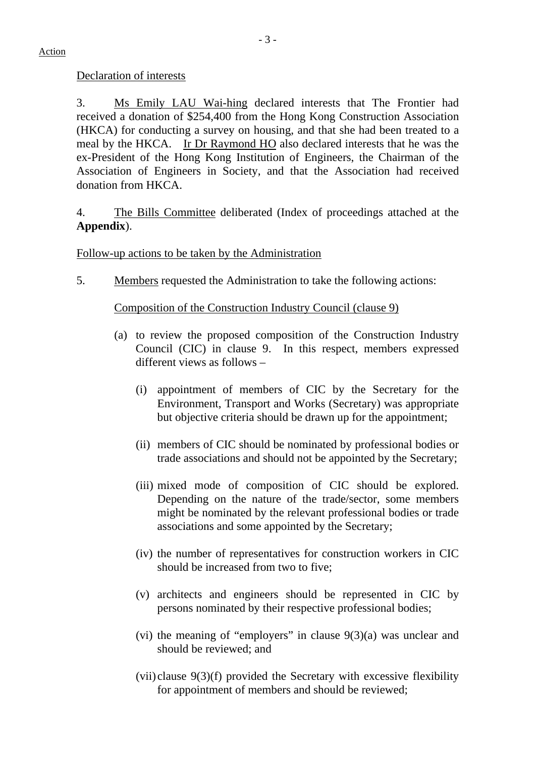Declaration of interests

3. Ms Emily LAU Wai-hing declared interests that The Frontier had received a donation of \$254,400 from the Hong Kong Construction Association (HKCA) for conducting a survey on housing, and that she had been treated to a meal by the HKCA. Ir Dr Raymond HO also declared interests that he was the ex-President of the Hong Kong Institution of Engineers, the Chairman of the Association of Engineers in Society, and that the Association had received donation from HKCA.

4. The Bills Committee deliberated (Index of proceedings attached at the **Appendix**).

## Follow-up actions to be taken by the Administration

5. Members requested the Administration to take the following actions:

# Composition of the Construction Industry Council (clause 9)

- (a) to review the proposed composition of the Construction Industry Council (CIC) in clause 9. In this respect, members expressed different views as follows –
	- (i) appointment of members of CIC by the Secretary for the Environment, Transport and Works (Secretary) was appropriate but objective criteria should be drawn up for the appointment;
	- (ii) members of CIC should be nominated by professional bodies or trade associations and should not be appointed by the Secretary;
	- (iii) mixed mode of composition of CIC should be explored. Depending on the nature of the trade/sector, some members might be nominated by the relevant professional bodies or trade associations and some appointed by the Secretary;
	- (iv) the number of representatives for construction workers in CIC should be increased from two to five;
	- (v) architects and engineers should be represented in CIC by persons nominated by their respective professional bodies;
	- (vi) the meaning of "employers" in clause 9(3)(a) was unclear and should be reviewed; and
	- (vii) clause 9(3)(f) provided the Secretary with excessive flexibility for appointment of members and should be reviewed;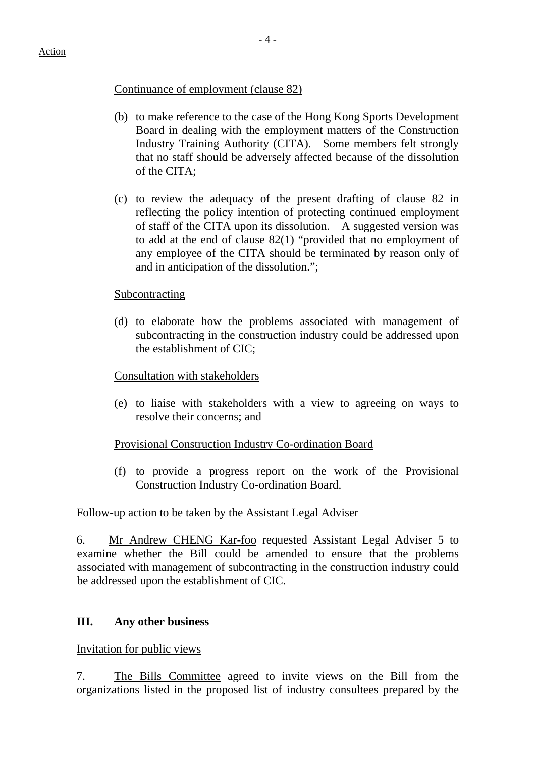### Continuance of employment (clause 82)

- (b) to make reference to the case of the Hong Kong Sports Development Board in dealing with the employment matters of the Construction Industry Training Authority (CITA). Some members felt strongly that no staff should be adversely affected because of the dissolution of the CITA;
- (c) to review the adequacy of the present drafting of clause 82 in reflecting the policy intention of protecting continued employment of staff of the CITA upon its dissolution. A suggested version was to add at the end of clause 82(1) "provided that no employment of any employee of the CITA should be terminated by reason only of and in anticipation of the dissolution.";

#### Subcontracting

(d) to elaborate how the problems associated with management of subcontracting in the construction industry could be addressed upon the establishment of CIC;

#### Consultation with stakeholders

(e) to liaise with stakeholders with a view to agreeing on ways to resolve their concerns; and

#### Provisional Construction Industry Co-ordination Board

(f) to provide a progress report on the work of the Provisional Construction Industry Co-ordination Board.

#### Follow-up action to be taken by the Assistant Legal Adviser

6. Mr Andrew CHENG Kar-foo requested Assistant Legal Adviser 5 to examine whether the Bill could be amended to ensure that the problems associated with management of subcontracting in the construction industry could be addressed upon the establishment of CIC.

## **III. Any other business**

Invitation for public views

7. The Bills Committee agreed to invite views on the Bill from the organizations listed in the proposed list of industry consultees prepared by the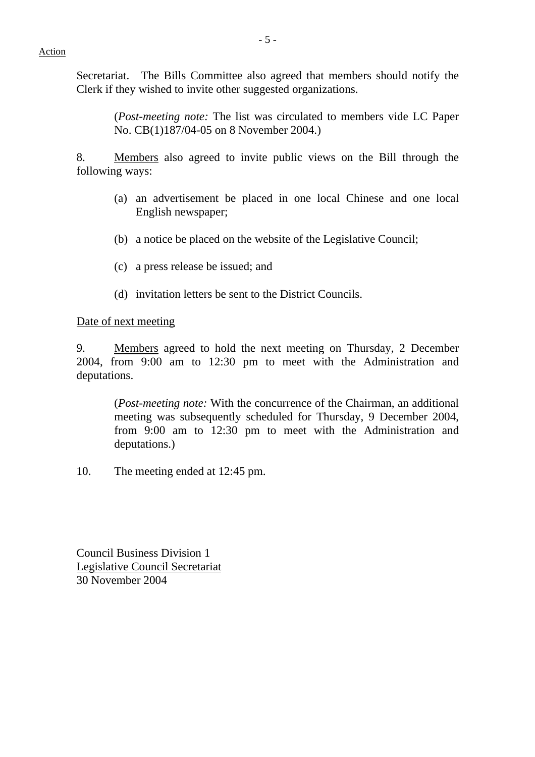Secretariat. The Bills Committee also agreed that members should notify the Clerk if they wished to invite other suggested organizations.

> (*Post-meeting note:* The list was circulated to members vide LC Paper No. CB(1)187/04-05 on 8 November 2004.)

8. Members also agreed to invite public views on the Bill through the following ways:

- (a) an advertisement be placed in one local Chinese and one local English newspaper;
- (b) a notice be placed on the website of the Legislative Council;
- (c) a press release be issued; and
- (d) invitation letters be sent to the District Councils.

Date of next meeting

9. Members agreed to hold the next meeting on Thursday, 2 December 2004, from 9:00 am to 12:30 pm to meet with the Administration and deputations.

 (*Post-meeting note:* With the concurrence of the Chairman, an additional meeting was subsequently scheduled for Thursday, 9 December 2004, from 9:00 am to 12:30 pm to meet with the Administration and deputations.)

10. The meeting ended at 12:45 pm.

Council Business Division 1 Legislative Council Secretariat 30 November 2004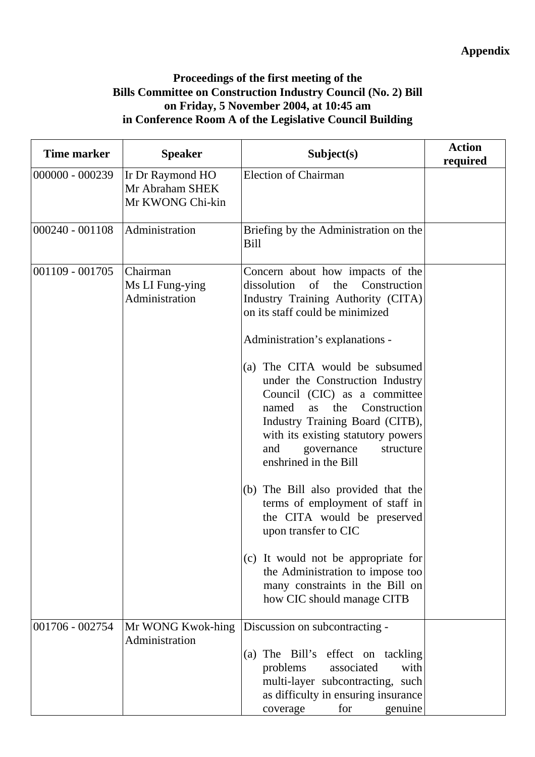# **Proceedings of the first meeting of the Bills Committee on Construction Industry Council (No. 2) Bill on Friday, 5 November 2004, at 10:45 am in Conference Room A of the Legislative Council Building**

| <b>Time marker</b> | <b>Speaker</b>                                          | Subject(s)                                                                                                                                                                                                                                                                                                                                                                                                                                                                                                                                                                                                                                                                    | <b>Action</b><br>required |
|--------------------|---------------------------------------------------------|-------------------------------------------------------------------------------------------------------------------------------------------------------------------------------------------------------------------------------------------------------------------------------------------------------------------------------------------------------------------------------------------------------------------------------------------------------------------------------------------------------------------------------------------------------------------------------------------------------------------------------------------------------------------------------|---------------------------|
| $000000 - 000239$  | Ir Dr Raymond HO<br>Mr Abraham SHEK<br>Mr KWONG Chi-kin | <b>Election of Chairman</b>                                                                                                                                                                                                                                                                                                                                                                                                                                                                                                                                                                                                                                                   |                           |
| $000240 - 001108$  | Administration                                          | Briefing by the Administration on the<br><b>Bill</b>                                                                                                                                                                                                                                                                                                                                                                                                                                                                                                                                                                                                                          |                           |
| $001109 - 001705$  | Chairman<br>Ms LI Fung-ying<br>Administration           | Concern about how impacts of the<br>dissolution of the<br>Construction<br>Industry Training Authority (CITA)<br>on its staff could be minimized<br>Administration's explanations -<br>(a) The CITA would be subsumed<br>under the Construction Industry<br>Council (CIC) as a committee<br>named<br>the<br>Construction<br>as<br>Industry Training Board (CITB),<br>with its existing statutory powers<br>and<br>governance<br>structure<br>enshrined in the Bill<br>(b) The Bill also provided that the<br>terms of employment of staff in<br>the CITA would be preserved<br>upon transfer to CIC<br>(c) It would not be appropriate for<br>the Administration to impose too |                           |
|                    |                                                         | many constraints in the Bill on<br>how CIC should manage CITB                                                                                                                                                                                                                                                                                                                                                                                                                                                                                                                                                                                                                 |                           |
| 001706 - 002754    | Mr WONG Kwok-hing<br>Administration                     | Discussion on subcontracting -<br>(a) The Bill's effect on tackling<br>with<br>problems<br>associated<br>multi-layer subcontracting, such<br>as difficulty in ensuring insurance<br>for<br>genuine<br>coverage                                                                                                                                                                                                                                                                                                                                                                                                                                                                |                           |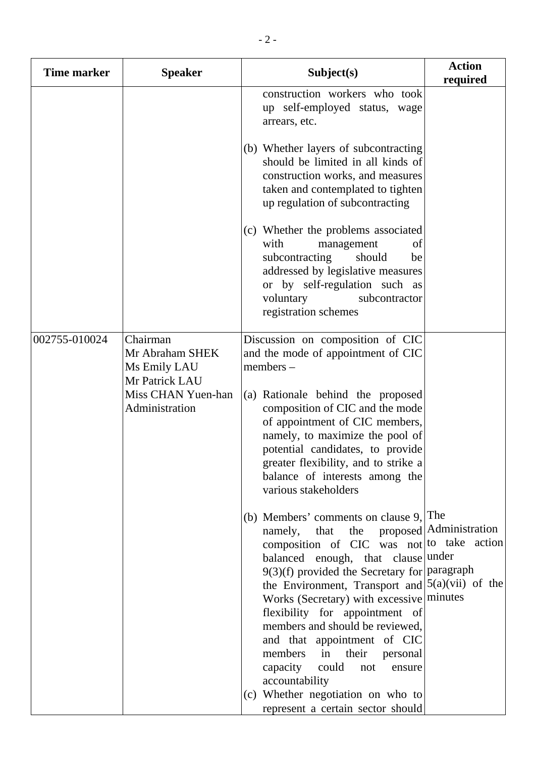| Time marker   | <b>Speaker</b>                                                | Subject(s)                                                                                                                                                                                                                                                                                                                                                                                                                                                                                                            | <b>Action</b><br>required |
|---------------|---------------------------------------------------------------|-----------------------------------------------------------------------------------------------------------------------------------------------------------------------------------------------------------------------------------------------------------------------------------------------------------------------------------------------------------------------------------------------------------------------------------------------------------------------------------------------------------------------|---------------------------|
|               |                                                               | construction workers who took<br>up self-employed status, wage<br>arrears, etc.                                                                                                                                                                                                                                                                                                                                                                                                                                       |                           |
|               |                                                               | (b) Whether layers of subcontracting<br>should be limited in all kinds of<br>construction works, and measures<br>taken and contemplated to tighten<br>up regulation of subcontracting                                                                                                                                                                                                                                                                                                                                 |                           |
|               |                                                               | (c) Whether the problems associated<br>with<br>management<br>of<br>subcontracting<br>should<br>be<br>addressed by legislative measures<br>or by self-regulation such as<br>voluntary<br>subcontractor<br>registration schemes                                                                                                                                                                                                                                                                                         |                           |
| 002755-010024 | Chairman<br>Mr Abraham SHEK<br>Ms Emily LAU<br>Mr Patrick LAU | Discussion on composition of CIC<br>and the mode of appointment of CIC<br>$members -$                                                                                                                                                                                                                                                                                                                                                                                                                                 |                           |
|               | Miss CHAN Yuen-han<br>Administration                          | (a) Rationale behind the proposed<br>composition of CIC and the mode<br>of appointment of CIC members,<br>namely, to maximize the pool of<br>potential candidates, to provide<br>greater flexibility, and to strike a<br>balance of interests among the<br>various stakeholders                                                                                                                                                                                                                                       |                           |
|               |                                                               | (b) Members' comments on clause $9$ , The<br>namely, that the proposed Administration<br>composition of CIC was not to take action<br>balanced enough, that clause under<br>$9(3)(f)$ provided the Secretary for paragraph<br>the Environment, Transport and $(5(a)(vi))$ of the<br>Works (Secretary) with excessive minutes<br>flexibility for appointment of<br>members and should be reviewed,<br>and that appointment of CIC<br>members in their personal<br>capacity<br>could<br>not<br>ensure<br>accountability |                           |
|               |                                                               | (c) Whether negotiation on who to<br>represent a certain sector should                                                                                                                                                                                                                                                                                                                                                                                                                                                |                           |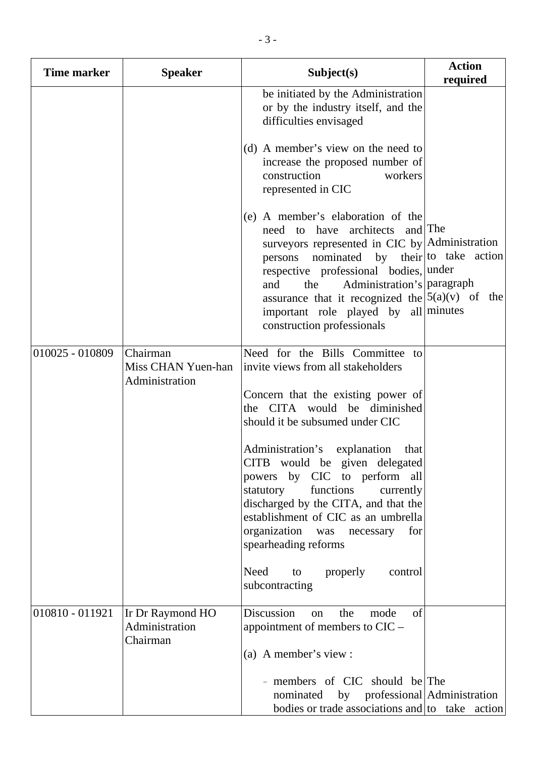| Time marker     | <b>Speaker</b>                                   | Subject(s)                                                                                                                                                                                                                                                                                                                                                                                                                                                                                                                                                                                                           | <b>Action</b><br>required |
|-----------------|--------------------------------------------------|----------------------------------------------------------------------------------------------------------------------------------------------------------------------------------------------------------------------------------------------------------------------------------------------------------------------------------------------------------------------------------------------------------------------------------------------------------------------------------------------------------------------------------------------------------------------------------------------------------------------|---------------------------|
|                 |                                                  | be initiated by the Administration<br>or by the industry itself, and the<br>difficulties envisaged<br>(d) A member's view on the need to<br>increase the proposed number of<br>construction<br>workers<br>represented in CIC<br>(e) A member's elaboration of the<br>need to have architects and The<br>surveyors represented in CIC by Administration<br>persons nominated by their to take action<br>respective professional bodies, under<br>Administration's paragraph<br>the<br>and<br>assurance that it recognized the $ 5(a)(v)$ of the<br>important role played by all minutes<br>construction professionals |                           |
| 010025 - 010809 | Chairman<br>Miss CHAN Yuen-han<br>Administration | Need for the Bills Committee to<br>invite views from all stakeholders<br>Concern that the existing power of<br>the CITA would be diminished<br>should it be subsumed under CIC<br>Administration's explanation that<br>CITB would be given delegated<br>powers by CIC to perform all<br>functions<br>currently<br>statutory<br>discharged by the CITA, and that the<br>establishment of CIC as an umbrella<br>organization was necessary<br>for<br>spearheading reforms<br>Need<br>properly<br>control<br>to<br>subcontracting                                                                                       |                           |
| 010810 - 011921 | Ir Dr Raymond HO<br>Administration<br>Chairman   | Discussion<br>the<br>mode<br>of<br>on<br>appointment of members to $CIC$ –<br>(a) A member's view :<br>- members of CIC should be The<br>nominated by professional Administration<br>bodies or trade associations and $\vert$ to take action                                                                                                                                                                                                                                                                                                                                                                         |                           |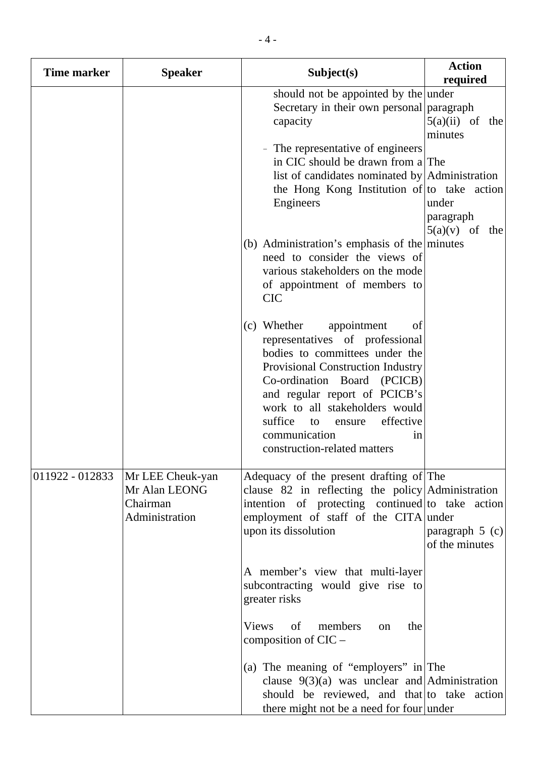| <b>Time marker</b> | <b>Speaker</b>                                                  | Subject(s)                                                                                                                                                                                                                                                                                                                                  | <b>Action</b><br>required              |
|--------------------|-----------------------------------------------------------------|---------------------------------------------------------------------------------------------------------------------------------------------------------------------------------------------------------------------------------------------------------------------------------------------------------------------------------------------|----------------------------------------|
|                    |                                                                 | should not be appointed by the under<br>Secretary in their own personal paragraph<br>capacity                                                                                                                                                                                                                                               | $5(a)(ii)$ of the<br>minutes           |
|                    |                                                                 | The representative of engineers<br>in CIC should be drawn from a The<br>list of candidates nominated by $\operatorname{Admin}$ stration<br>the Hong Kong Institution of to take action<br>Engineers                                                                                                                                         | under<br>paragraph<br>$5(a)(v)$ of the |
|                    |                                                                 | (b) Administration's emphasis of the minutes<br>need to consider the views of<br>various stakeholders on the mode<br>of appointment of members to<br><b>CIC</b>                                                                                                                                                                             |                                        |
|                    |                                                                 | (c) Whether<br>appointment<br>of<br>representatives of professional<br>bodies to committees under the<br>Provisional Construction Industry<br>Co-ordination Board (PCICB)<br>and regular report of PCICB's<br>work to all stakeholders would<br>suffice<br>effective<br>to<br>ensure<br>communication<br>1n<br>construction-related matters |                                        |
| 011922 - 012833    | Mr LEE Cheuk-yan<br>Mr Alan LEONG<br>Chairman<br>Administration | Adequacy of the present drafting of The<br>clause 82 in reflecting the policy Administration<br>intention of protecting continued to take action<br>employment of staff of the CITA under<br>upon its dissolution                                                                                                                           | paragraph $5$ (c)<br>of the minutes    |
|                    |                                                                 | A member's view that multi-layer<br>subcontracting would give rise to<br>greater risks                                                                                                                                                                                                                                                      |                                        |
|                    |                                                                 | <b>Views</b><br>of<br>members<br>the<br>on<br>composition of $CIC$ –                                                                                                                                                                                                                                                                        |                                        |
|                    |                                                                 | (a) The meaning of "employers" in The<br>clause $9(3)(a)$ was unclear and Administration<br>should be reviewed, and that to take action<br>there might not be a need for four under                                                                                                                                                         |                                        |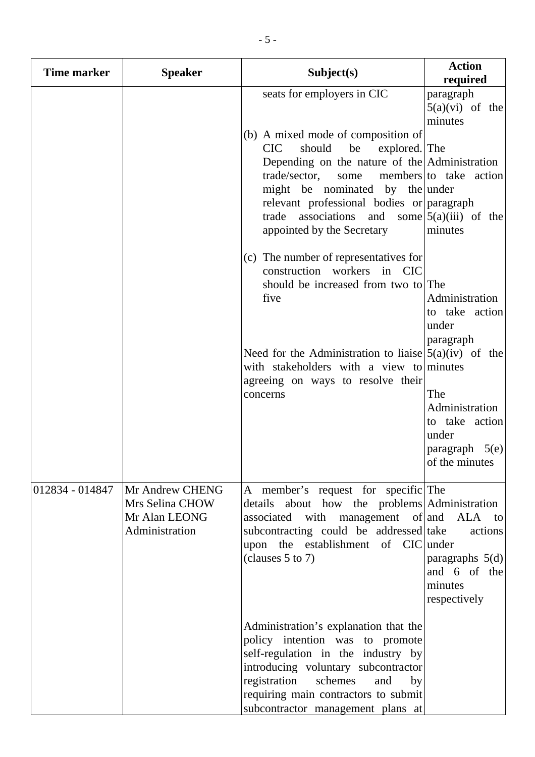| <b>Time marker</b> | <b>Speaker</b>                                                        | Subject(s)                                                                                                                                                                                                                                                                                                                           | <b>Action</b><br>required                                                                                                                        |
|--------------------|-----------------------------------------------------------------------|--------------------------------------------------------------------------------------------------------------------------------------------------------------------------------------------------------------------------------------------------------------------------------------------------------------------------------------|--------------------------------------------------------------------------------------------------------------------------------------------------|
|                    |                                                                       | seats for employers in CIC<br>(b) A mixed mode of composition of<br><b>CIC</b><br>should<br>be<br>explored. The<br>Depending on the nature of the Administration<br>trade/sector,<br>some<br>might be nominated by the under<br>relevant professional bodies or paragraph<br>trade associations<br>and<br>appointed by the Secretary | paragraph<br>$5(a)(vi)$ of the<br>minutes<br>members to take action<br>some $5(a)(iii)$ of the<br>minutes                                        |
|                    |                                                                       | (c) The number of representatives for<br>construction workers in CIC<br>should be increased from two to The<br>five<br>Need for the Administration to liaise $(5(a)(iv))$ of the<br>with stakeholders with a view to minutes<br>agreeing on ways to resolve their<br>concerns                                                        | Administration<br>to take action<br>under<br>paragraph<br>The<br>Administration<br>to take action<br>under<br>paragraph $5(e)$<br>of the minutes |
| 012834 - 014847    | Mr Andrew CHENG<br>Mrs Selina CHOW<br>Mr Alan LEONG<br>Administration | A member's request for specific The<br>details about how the problems Administration<br>management of and<br>associated<br>with<br>subcontracting could be addressed take<br>upon the establishment of CIC under<br>(clauses $5$ to $7$ )                                                                                            | ALA to<br>actions<br>paragraphs $5(d)$<br>and 6 of the<br>minutes<br>respectively                                                                |
|                    |                                                                       | Administration's explanation that the<br>policy intention was to promote<br>self-regulation in the industry by<br>introducing voluntary subcontractor<br>registration<br>schemes<br>and<br>by<br>requiring main contractors to submit<br>subcontractor management plans at                                                           |                                                                                                                                                  |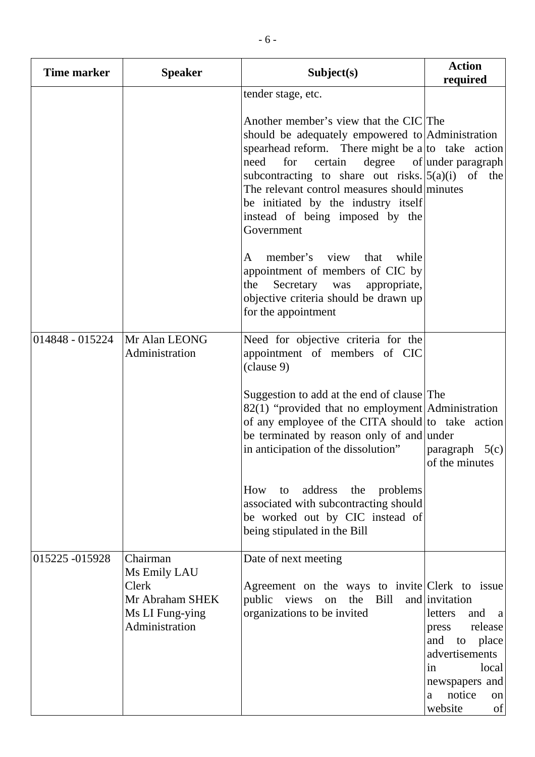| <b>Time marker</b> | <b>Speaker</b>                                                                            | Subject(s)                                                                                                                                                                                                                                                                                                                                                                                                                                                                                   | <b>Action</b><br>required                                                                                                                                                     |
|--------------------|-------------------------------------------------------------------------------------------|----------------------------------------------------------------------------------------------------------------------------------------------------------------------------------------------------------------------------------------------------------------------------------------------------------------------------------------------------------------------------------------------------------------------------------------------------------------------------------------------|-------------------------------------------------------------------------------------------------------------------------------------------------------------------------------|
|                    |                                                                                           | tender stage, etc.<br>Another member's view that the CIC The<br>should be adequately empowered to Administration<br>spearhead reform. There might be $a\vert$ to take action<br>certain<br>need<br>for<br>subcontracting to share out risks. $\vert 5(a)(i) \vert$ of the<br>The relevant control measures should minutes<br>be initiated by the industry itself<br>instead of being imposed by the<br>Government<br>member's view<br>that<br>while<br>A<br>appointment of members of CIC by | degree of under paragraph                                                                                                                                                     |
|                    |                                                                                           | Secretary<br>the<br>was<br>appropriate,<br>objective criteria should be drawn up<br>for the appointment                                                                                                                                                                                                                                                                                                                                                                                      |                                                                                                                                                                               |
| 014848 - 015224    | Mr Alan LEONG<br>Administration                                                           | Need for objective criteria for the<br>appointment of members of CIC<br>(clause 9)<br>Suggestion to add at the end of clause The<br>$82(1)$ "provided that no employment Administration"<br>of any employee of the CITA should to take action<br>be terminated by reason only of and under<br>in anticipation of the dissolution"                                                                                                                                                            | paragraph $5(c)$<br>of the minutes                                                                                                                                            |
|                    |                                                                                           | to address<br>How<br>the<br>problems<br>associated with subcontracting should<br>be worked out by CIC instead of<br>being stipulated in the Bill                                                                                                                                                                                                                                                                                                                                             |                                                                                                                                                                               |
| 015225 -015928     | Chairman<br>Ms Emily LAU<br>Clerk<br>Mr Abraham SHEK<br>Ms LI Fung-ying<br>Administration | Date of next meeting<br>Agreement on the ways to invite Clerk to issue<br>on the Bill<br>public views<br>organizations to be invited                                                                                                                                                                                                                                                                                                                                                         | and invitation<br>and<br>letters<br><sub>a</sub><br>release<br>press<br>and to place<br>advertisements<br>local<br>in<br>newspapers and<br>notice<br>a<br>on<br>website<br>of |